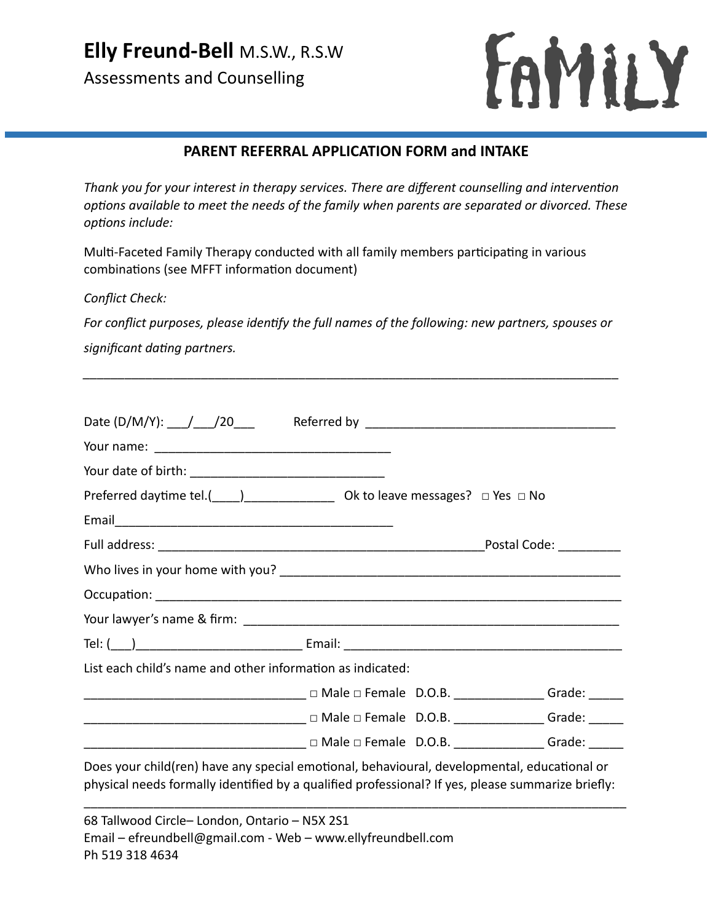**Elly Freund-Bell** M.S.W., R.S.W

Assessments and Counselling



## **PARENT REFERRAL APPLICATION FORM and INTAKE**

*Thank you for your interest in therapy services. There are different counselling and intervention options available to meet the needs of the family when parents are separated or divorced. These options include:*

Multi-Faceted Family Therapy conducted with all family members participating in various combinations (see MFFT information document)

*Conflict Check:*

*For conflict purposes, please identify the full names of the following: new partners, spouses or significant dating partners.*

*\_\_\_\_\_\_\_\_\_\_\_\_\_\_\_\_\_\_\_\_\_\_\_\_\_\_\_\_\_\_\_\_\_\_\_\_\_\_\_\_\_\_\_\_\_\_\_\_\_\_\_\_\_\_\_\_\_\_\_\_\_\_\_\_\_\_\_\_\_\_\_\_\_\_\_\_\_*

| Preferred daytime tel.( $\rule{1em}{0.15mm}$ Ok to leave messages? $\Box$ Yes $\Box$ No                                                                                                          |                                                                                   |  |
|--------------------------------------------------------------------------------------------------------------------------------------------------------------------------------------------------|-----------------------------------------------------------------------------------|--|
|                                                                                                                                                                                                  |                                                                                   |  |
|                                                                                                                                                                                                  |                                                                                   |  |
|                                                                                                                                                                                                  |                                                                                   |  |
|                                                                                                                                                                                                  |                                                                                   |  |
|                                                                                                                                                                                                  |                                                                                   |  |
|                                                                                                                                                                                                  |                                                                                   |  |
| List each child's name and other information as indicated:                                                                                                                                       |                                                                                   |  |
|                                                                                                                                                                                                  |                                                                                   |  |
| ___________________________________ □ Male □ Female D.O.B. ________________Grade: ______                                                                                                         |                                                                                   |  |
|                                                                                                                                                                                                  | ____________________________ □ Male □ Female D.O.B. _________________Grade: _____ |  |
| Does your child(ren) have any special emotional, behavioural, developmental, educational or<br>physical needs formally identified by a qualified professional? If yes, please summarize briefly: |                                                                                   |  |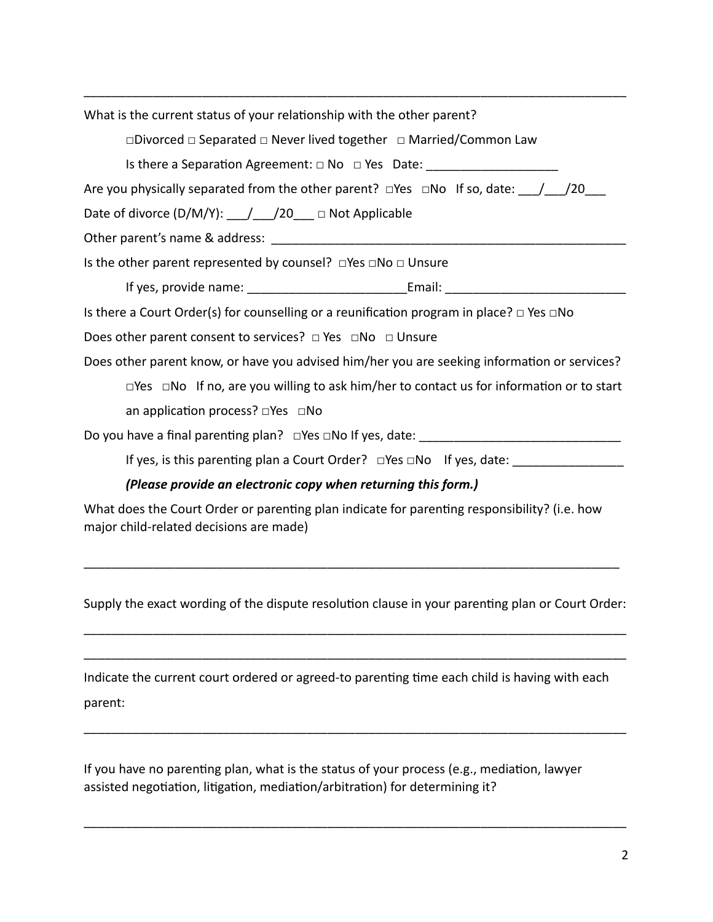\_\_\_\_\_\_\_\_\_\_\_\_\_\_\_\_\_\_\_\_\_\_\_\_\_\_\_\_\_\_\_\_\_\_\_\_\_\_\_\_\_\_\_\_\_\_\_\_\_\_\_\_\_\_\_\_\_\_\_\_\_\_\_\_\_\_\_\_\_\_\_\_\_\_\_\_\_\_ What is the current status of your relationship with the other parent? □Divorced □ Separated □ Never lived together □ Married/Common Law Is there a Separation Agreement:  $□$  No  $□$  Yes Date: Are you physically separated from the other parent?  $\square$ Yes  $\square$ No If so, date:  $/$  /20 Date of divorce (D/M/Y): \_\_\_/\_\_\_/20\_\_\_ □ Not Applicable Other parent's name & address: Is the other parent represented by counsel? □Yes □No □ Unsure If yes, provide name: The same of the set of the set of the set of the set of the set of the set of the set of the set of the set of the set of the set of the set of the set of the set of the set of the set of the set of t Is there a Court Order(s) for counselling or a reunification program in place?  $\Box$  Yes  $\Box$ No Does other parent consent to services? □ Yes □No □ Unsure Does other parent know, or have you advised him/her you are seeking information or services? □Yes □No If no, are you willing to ask him/her to contact us for information or to start an application process? □Yes □No Do you have a final parenting plan?  $\square$  Yes  $\square$  No If yes, date: If yes, is this parenting plan a Court Order? □Yes □No If yes, date: *(Please provide an electronic copy when returning this form.)* What does the Court Order or parenting plan indicate for parenting responsibility? (i.e. how

major child-related decisions are made)

Supply the exact wording of the dispute resolution clause in your parenting plan or Court Order:

\_\_\_\_\_\_\_\_\_\_\_\_\_\_\_\_\_\_\_\_\_\_\_\_\_\_\_\_\_\_\_\_\_\_\_\_\_\_\_\_\_\_\_\_\_\_\_\_\_\_\_\_\_\_\_\_\_\_\_\_\_\_\_\_\_\_\_\_\_\_\_\_\_\_\_\_\_\_

\_\_\_\_\_\_\_\_\_\_\_\_\_\_\_\_\_\_\_\_\_\_\_\_\_\_\_\_\_\_\_\_\_\_\_\_\_\_\_\_\_\_\_\_\_\_\_\_\_\_\_\_\_\_\_\_\_\_\_\_\_\_\_\_\_\_\_\_\_\_\_\_\_\_\_\_\_\_

\_\_\_\_\_\_\_\_\_\_\_\_\_\_\_\_\_\_\_\_\_\_\_\_\_\_\_\_\_\_\_\_\_\_\_\_\_\_\_\_\_\_\_\_\_\_\_\_\_\_\_\_\_\_\_\_\_\_\_\_\_\_\_\_\_\_\_\_\_\_\_\_\_\_\_\_\_\_

\_\_\_\_\_\_\_\_\_\_\_\_\_\_\_\_\_\_\_\_\_\_\_\_\_\_\_\_\_\_\_\_\_\_\_\_\_\_\_\_\_\_\_\_\_\_\_\_\_\_\_\_\_\_\_\_\_\_\_\_\_\_\_\_\_\_\_\_\_\_\_\_\_\_\_\_\_\_

\_\_\_\_\_\_\_\_\_\_\_\_\_\_\_\_\_\_\_\_\_\_\_\_\_\_\_\_\_\_\_\_\_\_\_\_\_\_\_\_\_\_\_\_\_\_\_\_\_\_\_\_\_\_\_\_\_\_\_\_\_\_\_\_\_\_\_\_\_\_\_\_\_\_\_\_\_

| Indicate the current court ordered or agreed-to parenting time each child is having with each |  |
|-----------------------------------------------------------------------------------------------|--|
| parent:                                                                                       |  |

If you have no parenting plan, what is the status of your process (e.g., mediation, lawyer assisted negotiation, litigation, mediation/arbitration) for determining it?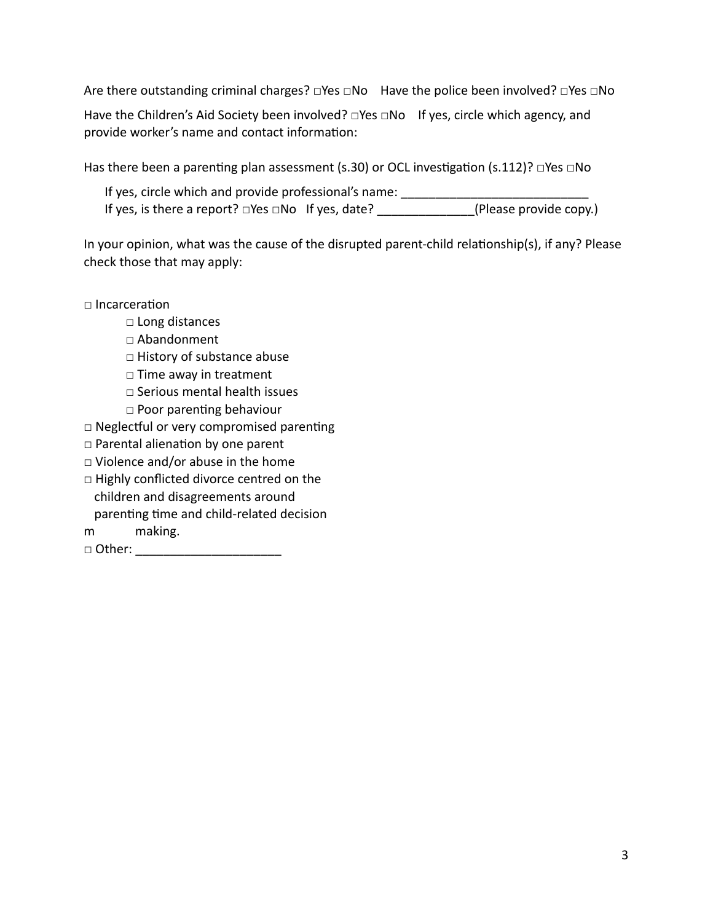Are there outstanding criminal charges? □Yes □No Have the police been involved? □Yes □No

Have the Children's Aid Society been involved? □Yes □No If yes, circle which agency, and provide worker's name and contact information:

Has there been a parenting plan assessment (s.30) or OCL investigation (s.112)?  $\Box$ Yes  $\Box$ No

If yes, circle which and provide professional's name: If yes, is there a report? □Yes □No If yes, date? \_\_\_\_\_\_\_\_\_\_\_\_\_\_(Please provide copy.)

In your opinion, what was the cause of the disrupted parent-child relationship(s), if any? Please check those that may apply:

 $\Box$  Incarceration

- □ Long distances
- □ Abandonment
- □ History of substance abuse
- □ Time away in treatment
- □ Serious mental health issues
- □ Poor parenting behaviour
- □ Neglectful or very compromised parenting
- □ Parental alienation by one parent
- $\square$  Violence and/or abuse in the home
- □ Highly conflicted divorce centred on the children and disagreements around parenting time and child-related decision
- m making.
- □ Other: \_\_\_\_\_\_\_\_\_\_\_\_\_\_\_\_\_\_\_\_\_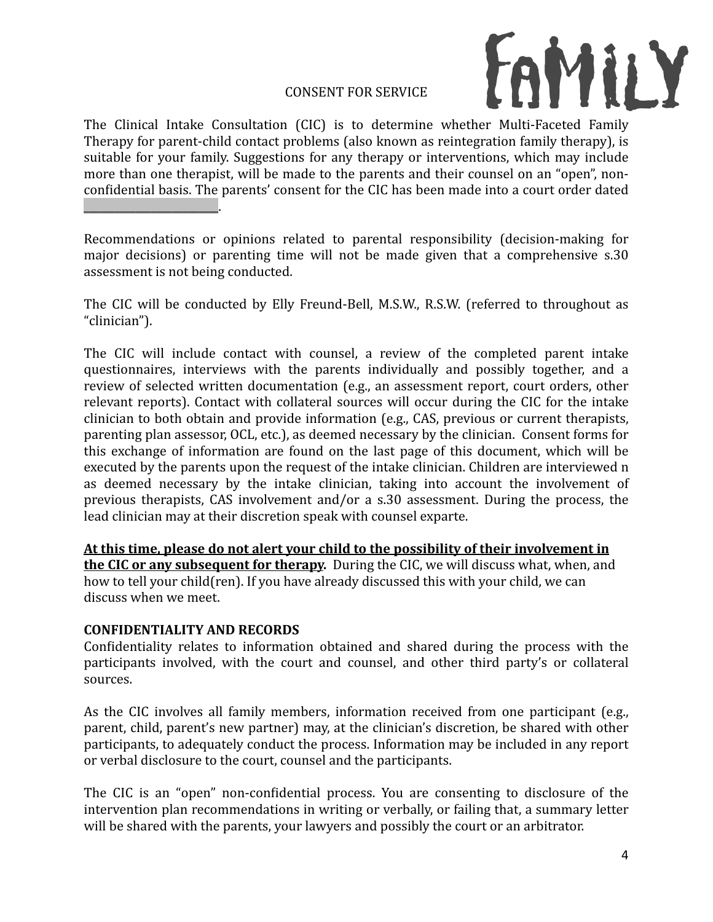## **CONSENT FOR SERVICE**



The Clinical Intake Consultation (CIC) is to determine whether Multi-Faceted Family Therapy for parent-child contact problems (also known as reintegration family therapy), is suitable for your family. Suggestions for any therapy or interventions, which may include more than one therapist, will be made to the parents and their counsel on an "open", nonconfidential basis. The parents' consent for the CIC has been made into a court order dated  $\overline{\phantom{a}}$  , where  $\overline{\phantom{a}}$  , where  $\overline{\phantom{a}}$  ,  $\overline{\phantom{a}}$  ,  $\overline{\phantom{a}}$  ,  $\overline{\phantom{a}}$  ,  $\overline{\phantom{a}}$  ,  $\overline{\phantom{a}}$  ,  $\overline{\phantom{a}}$  ,  $\overline{\phantom{a}}$  ,  $\overline{\phantom{a}}$  ,  $\overline{\phantom{a}}$  ,  $\overline{\phantom{a}}$  ,  $\overline{\phantom{a}}$  ,  $\overline{\phantom{a}}$  ,

Recommendations or opinions related to parental responsibility (decision-making for major decisions) or parenting time will not be made given that a comprehensive s.30 assessment is not being conducted.

The CIC will be conducted by Elly Freund-Bell, M.S.W., R.S.W. (referred to throughout as "clinician"). 

The CIC will include contact with counsel, a review of the completed parent intake questionnaires, interviews with the parents individually and possibly together, and a review of selected written documentation (e.g., an assessment report, court orders, other relevant reports). Contact with collateral sources will occur during the CIC for the intake clinician to both obtain and provide information (e.g., CAS, previous or current therapists, parenting plan assessor, OCL, etc.), as deemed necessary by the clinician. Consent forms for this exchange of information are found on the last page of this document, which will be executed by the parents upon the request of the intake clinician. Children are interviewed n as deemed necessary by the intake clinician, taking into account the involvement of previous therapists, CAS involvement and/or a s.30 assessment. During the process, the lead clinician may at their discretion speak with counsel exparte.

At this time, please do not alert your child to the possibility of their involvement in **the CIC or any subsequent for therapy.** During the CIC, we will discuss what, when, and how to tell your child(ren). If you have already discussed this with your child, we can discuss when we meet.

## **CONFIDENTIALITY AND RECORDS**

Confidentiality relates to information obtained and shared during the process with the participants involved, with the court and counsel, and other third party's or collateral sources. 

As the CIC involves all family members, information received from one participant (e.g., parent, child, parent's new partner) may, at the clinician's discretion, be shared with other participants, to adequately conduct the process. Information may be included in any report or verbal disclosure to the court, counsel and the participants.

The CIC is an "open" non-confidential process. You are consenting to disclosure of the intervention plan recommendations in writing or verbally, or failing that, a summary letter will be shared with the parents, your lawyers and possibly the court or an arbitrator.